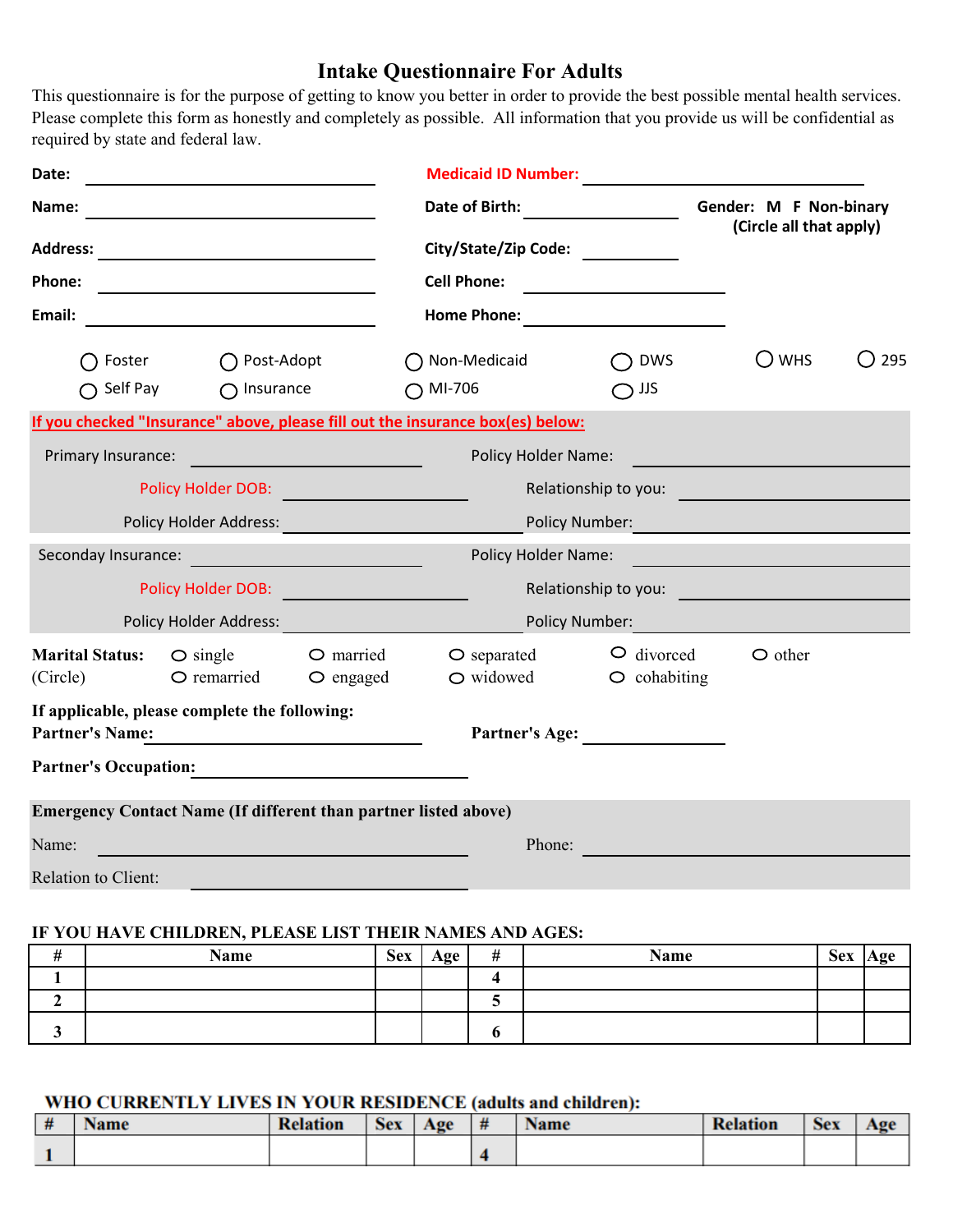### **Intake Questionnaire For Adults**

This questionnaire is for the purpose of getting to know you better in order to provide the best possible mental health services. Please complete this form as honestly and completely as possible. All information that you provide us will be confidential as required by state and federal law.

| Date:                                                                        |                                                                                                                          |                                       | <b>Medicaid ID Number:</b>                                                     |                                                   |                      |                               |  |
|------------------------------------------------------------------------------|--------------------------------------------------------------------------------------------------------------------------|---------------------------------------|--------------------------------------------------------------------------------|---------------------------------------------------|----------------------|-------------------------------|--|
| Name:                                                                        |                                                                                                                          | Date of Birth:                        |                                                                                | Gender: M F Non-binary<br>(Circle all that apply) |                      |                               |  |
| <b>Address:</b><br><u> 1980 - Andrea Station Barbara (h. 1980)</u><br>Phone: |                                                                                                                          |                                       |                                                                                |                                                   |                      |                               |  |
|                                                                              |                                                                                                                          |                                       | <b>Cell Phone:</b>                                                             |                                                   |                      |                               |  |
| Email:                                                                       | <u> 1980 - Johann Barn, mars ann an t-Amhain Aonaich an t-Aonaich an t-Aonaich an t-Aonaich an t-Aonaich ann an t-</u>   |                                       | Home Phone: <u>___________________</u>                                         |                                                   |                      |                               |  |
| $\bigcap$ Foster                                                             | $\bigcap$ Post-Adopt                                                                                                     |                                       | ◯ Non-Medicaid                                                                 | <b>DWS</b>                                        | $\bigcirc$ whs       | 295<br>$\left( \quad \right)$ |  |
| $\bigcap$ Self Pay                                                           | $\bigcap$ Insurance                                                                                                      |                                       | $\bigcirc$ MI-706                                                              | $\bigcirc$ JJS                                    |                      |                               |  |
|                                                                              |                                                                                                                          |                                       | If you checked "Insurance" above, please fill out the insurance box(es) below: |                                                   |                      |                               |  |
| Primary Insurance:                                                           | <u> 1989 - Johann Barnett, fransk politik (</u>                                                                          |                                       | <b>Policy Holder Name:</b>                                                     |                                                   |                      |                               |  |
| <b>Policy Holder DOB:</b> Policy Holder DOB:                                 |                                                                                                                          |                                       |                                                                                |                                                   | Relationship to you: |                               |  |
|                                                                              |                                                                                                                          |                                       | Policy Number:                                                                 |                                                   |                      |                               |  |
|                                                                              | Seconday Insurance: <u>contract and the contract of the secondary in the secondary of the secondary secondary second</u> |                                       | <b>Policy Holder Name:</b>                                                     |                                                   |                      |                               |  |
|                                                                              | Policy Holder DOB:                                                                                                       |                                       |                                                                                |                                                   | Relationship to you: |                               |  |
|                                                                              | Policy Holder Address:                                                                                                   |                                       |                                                                                | Policy Number:                                    |                      |                               |  |
| <b>Marital Status:</b><br>(Circle)                                           | $\circ$ single<br>O remarried                                                                                            | $\bigcirc$ married<br>$\circ$ engaged | $\bigcirc$ separated<br>$\bigcirc$ widowed                                     | $\circ$ divorced<br>$\circ$ cohabiting            | $\circ$ other        |                               |  |
| <b>Partner's Name:</b>                                                       | If applicable, please complete the following:                                                                            |                                       |                                                                                | Partner's Age:                                    |                      |                               |  |
|                                                                              | Partner's Occupation: 2008 2010 12:00 2010 2010 2011 2022 2023 2024 2022 2023 2024 2022 2023 2024 2025 2026 20           |                                       |                                                                                |                                                   |                      |                               |  |
|                                                                              | <b>Emergency Contact Name (If different than partner listed above)</b>                                                   |                                       |                                                                                |                                                   |                      |                               |  |
| Name:                                                                        |                                                                                                                          |                                       | Phone:                                                                         |                                                   |                      |                               |  |
| <b>Relation to Client:</b>                                                   |                                                                                                                          |                                       |                                                                                |                                                   |                      |                               |  |
|                                                                              |                                                                                                                          |                                       |                                                                                |                                                   |                      |                               |  |

#### **IF YOU HAVE CHILDREN, PLEASE LIST THEIR NAMES AND AGES:**

| $\mathbf{\mu}$<br>ŦŦ | Name | <b>Sex</b> | Age | # | <b>Name</b> | <b>Sex</b> | Age |
|----------------------|------|------------|-----|---|-------------|------------|-----|
|                      |      |            |     |   |             |            |     |
|                      |      |            |     |   |             |            |     |
|                      |      |            |     |   |             |            |     |

#### WHO CURRENTLY LIVES IN YOUR RESIDENCE (adults and children):

| # | Name | <b>Relation</b> | <b>Sex</b> | Age | # | vame | <b>Relation</b> | <b>Sex</b> | Aσe |
|---|------|-----------------|------------|-----|---|------|-----------------|------------|-----|
|   |      |                 |            |     |   |      |                 |            |     |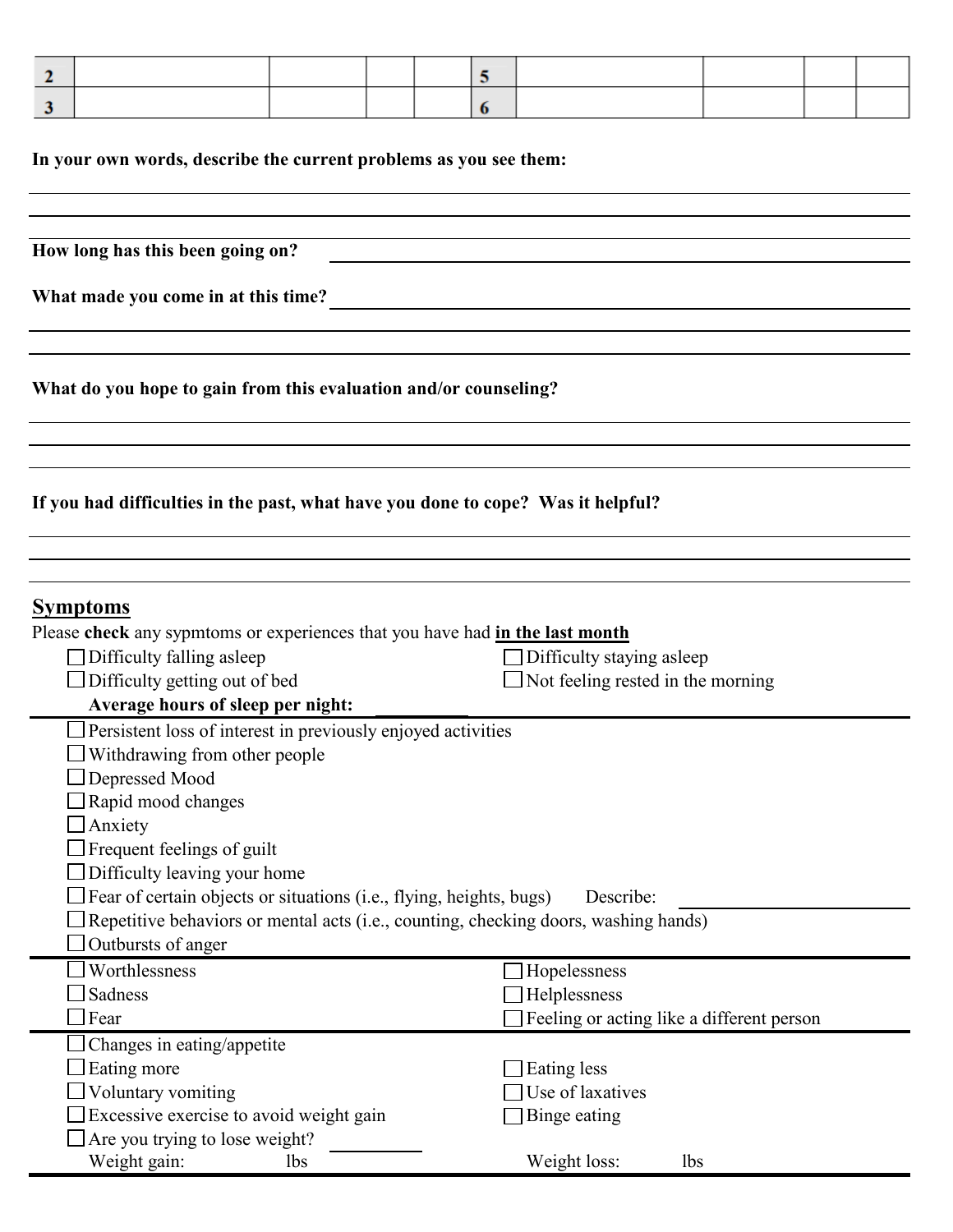| $\mathbf{2}$                                                                                                                                                                                                                                                                          |                                                                  | 5                                                               |                                                                |                                           |  |  |
|---------------------------------------------------------------------------------------------------------------------------------------------------------------------------------------------------------------------------------------------------------------------------------------|------------------------------------------------------------------|-----------------------------------------------------------------|----------------------------------------------------------------|-------------------------------------------|--|--|
| 3                                                                                                                                                                                                                                                                                     |                                                                  | 6                                                               |                                                                |                                           |  |  |
| In your own words, describe the current problems as you see them:                                                                                                                                                                                                                     |                                                                  |                                                                 |                                                                |                                           |  |  |
| How long has this been going on?                                                                                                                                                                                                                                                      |                                                                  |                                                                 |                                                                |                                           |  |  |
|                                                                                                                                                                                                                                                                                       |                                                                  |                                                                 |                                                                |                                           |  |  |
| What made you come in at this time?                                                                                                                                                                                                                                                   |                                                                  |                                                                 |                                                                |                                           |  |  |
|                                                                                                                                                                                                                                                                                       |                                                                  |                                                                 |                                                                |                                           |  |  |
|                                                                                                                                                                                                                                                                                       | What do you hope to gain from this evaluation and/or counseling? |                                                                 |                                                                |                                           |  |  |
|                                                                                                                                                                                                                                                                                       |                                                                  |                                                                 |                                                                |                                           |  |  |
| If you had difficulties in the past, what have you done to cope? Was it helpful?                                                                                                                                                                                                      |                                                                  |                                                                 |                                                                |                                           |  |  |
|                                                                                                                                                                                                                                                                                       |                                                                  |                                                                 |                                                                |                                           |  |  |
| <b>Symptoms</b><br>Please check any sypmtoms or experiences that you have had in the last month<br>Difficulty falling asleep<br>Difficulty getting out of bed<br>Average hours of sleep per night:                                                                                    |                                                                  |                                                                 | Difficulty staying asleep<br>Not feeling rested in the morning |                                           |  |  |
| Persistent loss of interest in previously enjoyed activities<br>Withdrawing from other people<br>Depressed Mood<br>Rapid mood changes<br>Anxiety<br>Frequent feelings of guilt<br>Difficulty leaving your home<br>Fear of certain objects or situations (i.e., flying, heights, bugs) |                                                                  |                                                                 | Describe:                                                      |                                           |  |  |
| Repetitive behaviors or mental acts (i.e., counting, checking doors, washing hands)<br>Outbursts of anger                                                                                                                                                                             |                                                                  |                                                                 |                                                                |                                           |  |  |
| Worthlessness<br>Sadness<br>Fear                                                                                                                                                                                                                                                      |                                                                  | Hopelessness<br>Helplessness                                    |                                                                | Feeling or acting like a different person |  |  |
| Changes in eating/appetite<br>Eating more<br>Voluntary vomiting<br>Excessive exercise to avoid weight gain<br>Are you trying to lose weight?<br>Weight gain:<br><b>lbs</b>                                                                                                            |                                                                  | Eating less<br>Use of laxatives<br>Binge eating<br>Weight loss: | <b>lbs</b>                                                     |                                           |  |  |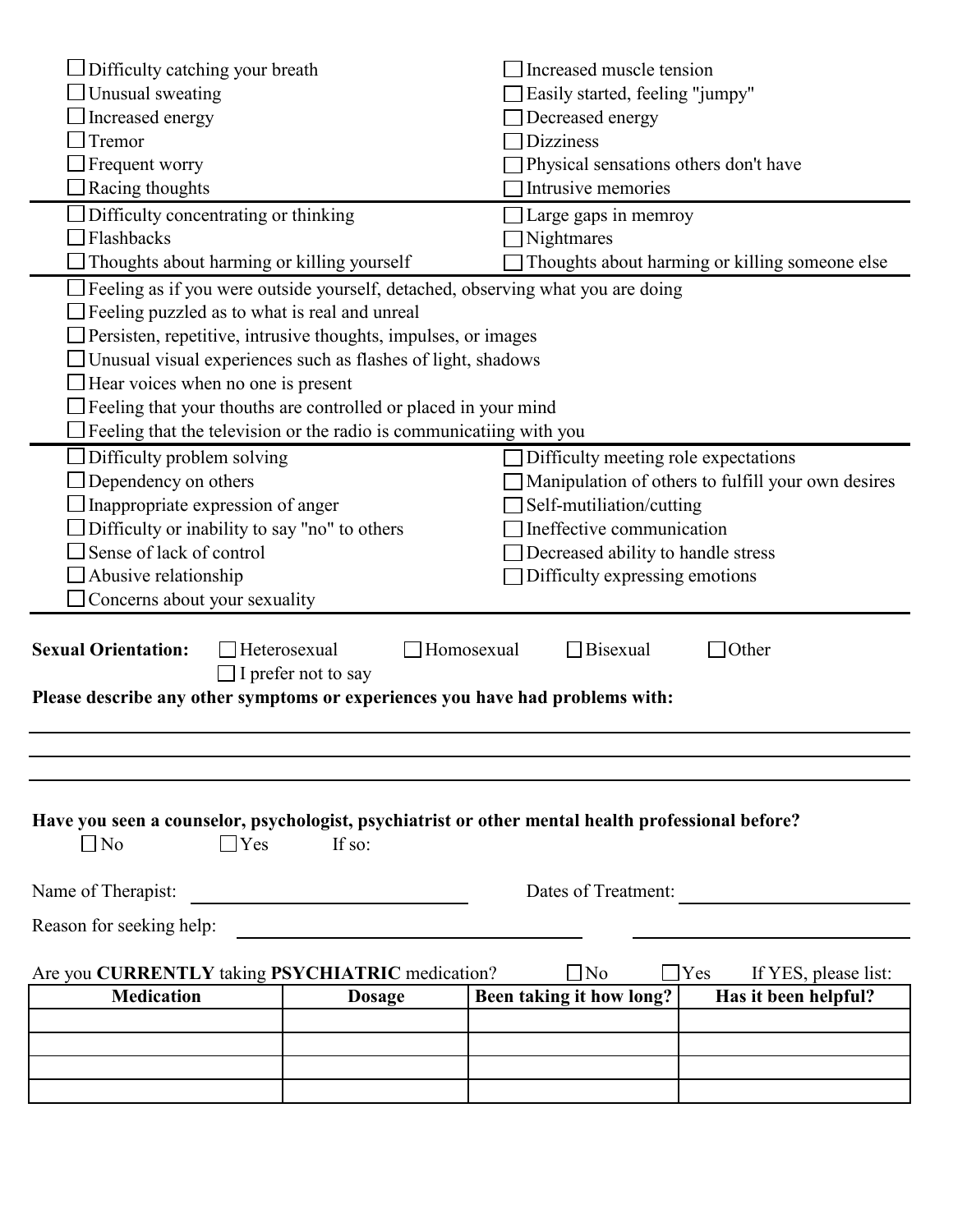| Difficulty catching your breath                                                                                                                                                     |                                            | Increased muscle tension                                                        |                                                    |  |  |
|-------------------------------------------------------------------------------------------------------------------------------------------------------------------------------------|--------------------------------------------|---------------------------------------------------------------------------------|----------------------------------------------------|--|--|
| Unusual sweating                                                                                                                                                                    |                                            | Easily started, feeling "jumpy"                                                 |                                                    |  |  |
| Increased energy                                                                                                                                                                    |                                            | Decreased energy                                                                |                                                    |  |  |
| Tremor                                                                                                                                                                              |                                            | <b>Dizziness</b>                                                                |                                                    |  |  |
| Frequent worry                                                                                                                                                                      |                                            | Physical sensations others don't have                                           |                                                    |  |  |
| Racing thoughts                                                                                                                                                                     |                                            | Intrusive memories                                                              |                                                    |  |  |
| Difficulty concentrating or thinking                                                                                                                                                |                                            | Large gaps in memroy                                                            |                                                    |  |  |
| Flashbacks                                                                                                                                                                          |                                            | Nightmares                                                                      |                                                    |  |  |
| Thoughts about harming or killing yourself                                                                                                                                          |                                            |                                                                                 | Thoughts about harming or killing someone else     |  |  |
|                                                                                                                                                                                     |                                            | Feeling as if you were outside yourself, detached, observing what you are doing |                                                    |  |  |
| Feeling puzzled as to what is real and unreal                                                                                                                                       |                                            |                                                                                 |                                                    |  |  |
| Persisten, repetitive, intrusive thoughts, impulses, or images                                                                                                                      |                                            |                                                                                 |                                                    |  |  |
| Unusual visual experiences such as flashes of light, shadows                                                                                                                        |                                            |                                                                                 |                                                    |  |  |
| Hear voices when no one is present                                                                                                                                                  |                                            |                                                                                 |                                                    |  |  |
| Feeling that your thouths are controlled or placed in your mind                                                                                                                     |                                            |                                                                                 |                                                    |  |  |
| Feeling that the television or the radio is communicatiing with you                                                                                                                 |                                            |                                                                                 |                                                    |  |  |
| Difficulty problem solving                                                                                                                                                          |                                            | Difficulty meeting role expectations                                            |                                                    |  |  |
| Dependency on others                                                                                                                                                                |                                            |                                                                                 | Manipulation of others to fulfill your own desires |  |  |
| Inappropriate expression of anger                                                                                                                                                   |                                            | Self-mutiliation/cutting                                                        |                                                    |  |  |
| Difficulty or inability to say "no" to others                                                                                                                                       |                                            | Ineffective communication                                                       |                                                    |  |  |
| Sense of lack of control                                                                                                                                                            |                                            | Decreased ability to handle stress                                              |                                                    |  |  |
| Abusive relationship                                                                                                                                                                |                                            | Difficulty expressing emotions                                                  |                                                    |  |  |
| Concerns about your sexuality                                                                                                                                                       |                                            |                                                                                 |                                                    |  |  |
| <b>Sexual Orientation:</b><br>Please describe any other symptoms or experiences you have had problems with:                                                                         | Heterosexual<br>$\Box$ I prefer not to say | Homosexual<br><b>Bisexual</b>                                                   | Other                                              |  |  |
|                                                                                                                                                                                     |                                            |                                                                                 |                                                    |  |  |
|                                                                                                                                                                                     |                                            |                                                                                 |                                                    |  |  |
| Have you seen a counselor, psychologist, psychiatrist or other mental health professional before?<br>$\Box$ No<br>$\Box$ Yes<br>If so:<br>Name of Therapist:<br>Dates of Treatment: |                                            |                                                                                 |                                                    |  |  |
|                                                                                                                                                                                     |                                            |                                                                                 |                                                    |  |  |
| Reason for seeking help:                                                                                                                                                            |                                            |                                                                                 |                                                    |  |  |
| Are you CURRENTLY taking PSYCHIATRIC medication?                                                                                                                                    |                                            | $\Box$ No                                                                       | $\Box$ Yes<br>If YES, please list:                 |  |  |
| <b>Medication</b>                                                                                                                                                                   | <b>Dosage</b>                              | Been taking it how long?                                                        | Has it been helpful?                               |  |  |
|                                                                                                                                                                                     |                                            |                                                                                 |                                                    |  |  |
|                                                                                                                                                                                     |                                            |                                                                                 |                                                    |  |  |
|                                                                                                                                                                                     |                                            |                                                                                 |                                                    |  |  |
|                                                                                                                                                                                     |                                            |                                                                                 |                                                    |  |  |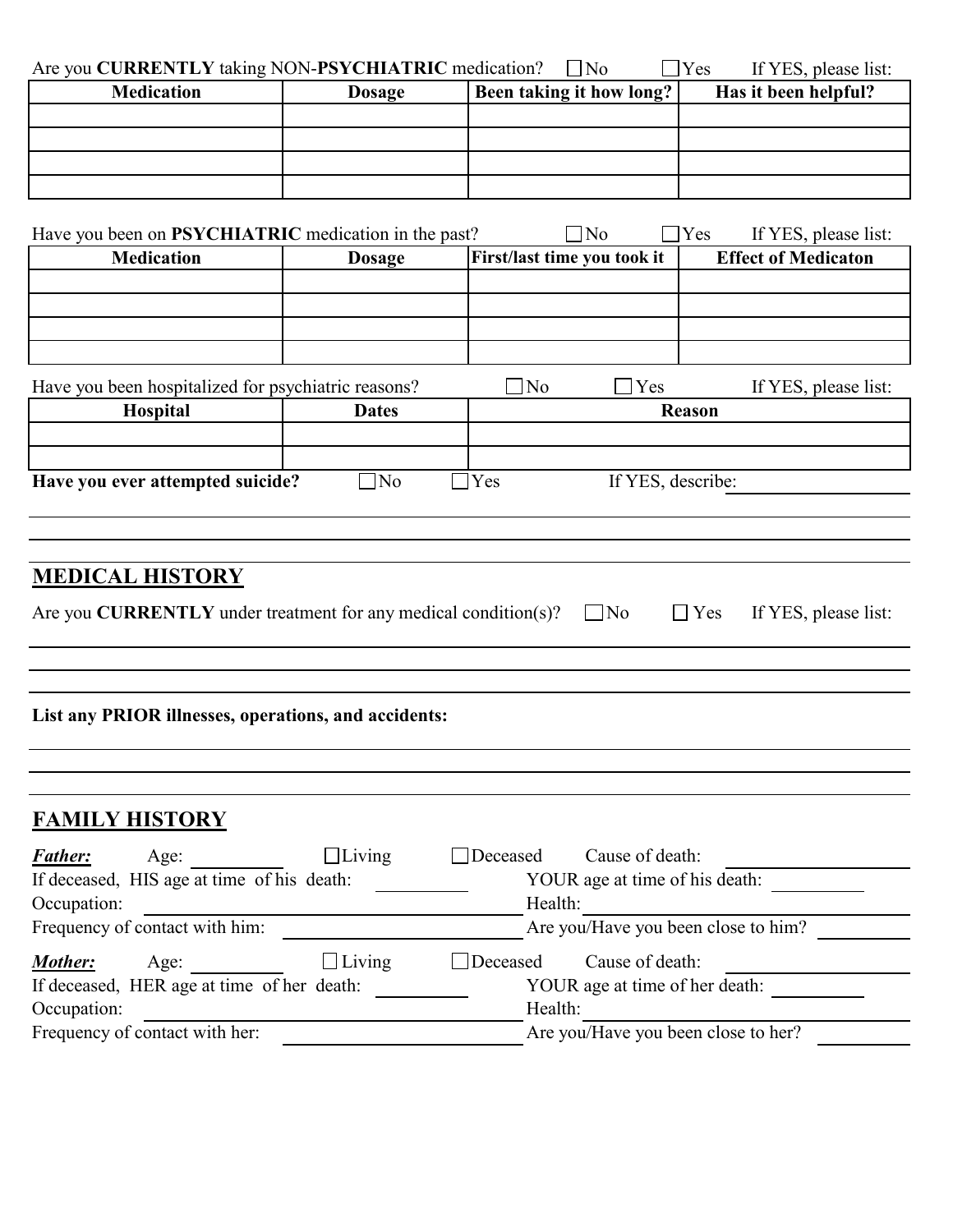| Are you CURRENTLY taking NON-PSYCHIATRIC medication?                                                                                                                                                                                                                                                                                   |               | $\Box$ No<br>$\Box$ Yes             | If YES, please list:               |
|----------------------------------------------------------------------------------------------------------------------------------------------------------------------------------------------------------------------------------------------------------------------------------------------------------------------------------------|---------------|-------------------------------------|------------------------------------|
| <b>Medication</b>                                                                                                                                                                                                                                                                                                                      | <b>Dosage</b> | Been taking it how long?            | Has it been helpful?               |
|                                                                                                                                                                                                                                                                                                                                        |               |                                     |                                    |
|                                                                                                                                                                                                                                                                                                                                        |               |                                     |                                    |
|                                                                                                                                                                                                                                                                                                                                        |               |                                     |                                    |
| Have you been on PSYCHIATRIC medication in the past?                                                                                                                                                                                                                                                                                   |               | $\neg$ No                           | $\Box$ Yes<br>If YES, please list: |
| <b>Medication</b>                                                                                                                                                                                                                                                                                                                      | <b>Dosage</b> | First/last time you took it         | <b>Effect of Medicaton</b>         |
|                                                                                                                                                                                                                                                                                                                                        |               |                                     |                                    |
|                                                                                                                                                                                                                                                                                                                                        |               |                                     |                                    |
|                                                                                                                                                                                                                                                                                                                                        |               |                                     |                                    |
|                                                                                                                                                                                                                                                                                                                                        |               |                                     |                                    |
| Have you been hospitalized for psychiatric reasons?<br>Hospital                                                                                                                                                                                                                                                                        | <b>Dates</b>  | $\Box$ No<br>Yes                    | If YES, please list:<br>Reason     |
|                                                                                                                                                                                                                                                                                                                                        |               |                                     |                                    |
|                                                                                                                                                                                                                                                                                                                                        |               |                                     |                                    |
|                                                                                                                                                                                                                                                                                                                                        | $\Box$ No     | $\Box$ Yes<br>If YES, describe:     |                                    |
|                                                                                                                                                                                                                                                                                                                                        |               |                                     |                                    |
|                                                                                                                                                                                                                                                                                                                                        |               |                                     |                                    |
|                                                                                                                                                                                                                                                                                                                                        |               |                                     |                                    |
|                                                                                                                                                                                                                                                                                                                                        |               |                                     |                                    |
|                                                                                                                                                                                                                                                                                                                                        |               |                                     |                                    |
|                                                                                                                                                                                                                                                                                                                                        |               |                                     |                                    |
|                                                                                                                                                                                                                                                                                                                                        |               | $\Box$ No                           | $\Box$ Yes                         |
|                                                                                                                                                                                                                                                                                                                                        |               |                                     |                                    |
|                                                                                                                                                                                                                                                                                                                                        |               |                                     |                                    |
|                                                                                                                                                                                                                                                                                                                                        |               |                                     |                                    |
|                                                                                                                                                                                                                                                                                                                                        |               |                                     |                                    |
|                                                                                                                                                                                                                                                                                                                                        |               |                                     |                                    |
|                                                                                                                                                                                                                                                                                                                                        |               |                                     |                                    |
|                                                                                                                                                                                                                                                                                                                                        |               |                                     |                                    |
|                                                                                                                                                                                                                                                                                                                                        |               | Cause of death:<br>Deceased         |                                    |
| Age:                                                                                                                                                                                                                                                                                                                                   | $\Box$ Living | YOUR age at time of his death:      |                                    |
|                                                                                                                                                                                                                                                                                                                                        |               | Health:                             |                                    |
| Have you ever attempted suicide?<br><b>MEDICAL HISTORY</b><br>Are you <b>CURRENTLY</b> under treatment for any medical condition(s)?<br>List any PRIOR illnesses, operations, and accidents:<br><b>FAMILY HISTORY</b><br><b>Father:</b><br>If deceased, HIS age at time of his death:<br>Occupation:<br>Frequency of contact with him: |               | Are you/Have you been close to him? |                                    |
|                                                                                                                                                                                                                                                                                                                                        |               | Deceased<br>Cause of death:         |                                    |
| Age:                                                                                                                                                                                                                                                                                                                                   | $\Box$ Living | YOUR age at time of her death:      |                                    |
| Mother:<br>If deceased, HER age at time of her death:<br>Occupation:                                                                                                                                                                                                                                                                   |               | Health:                             | If YES, please list:               |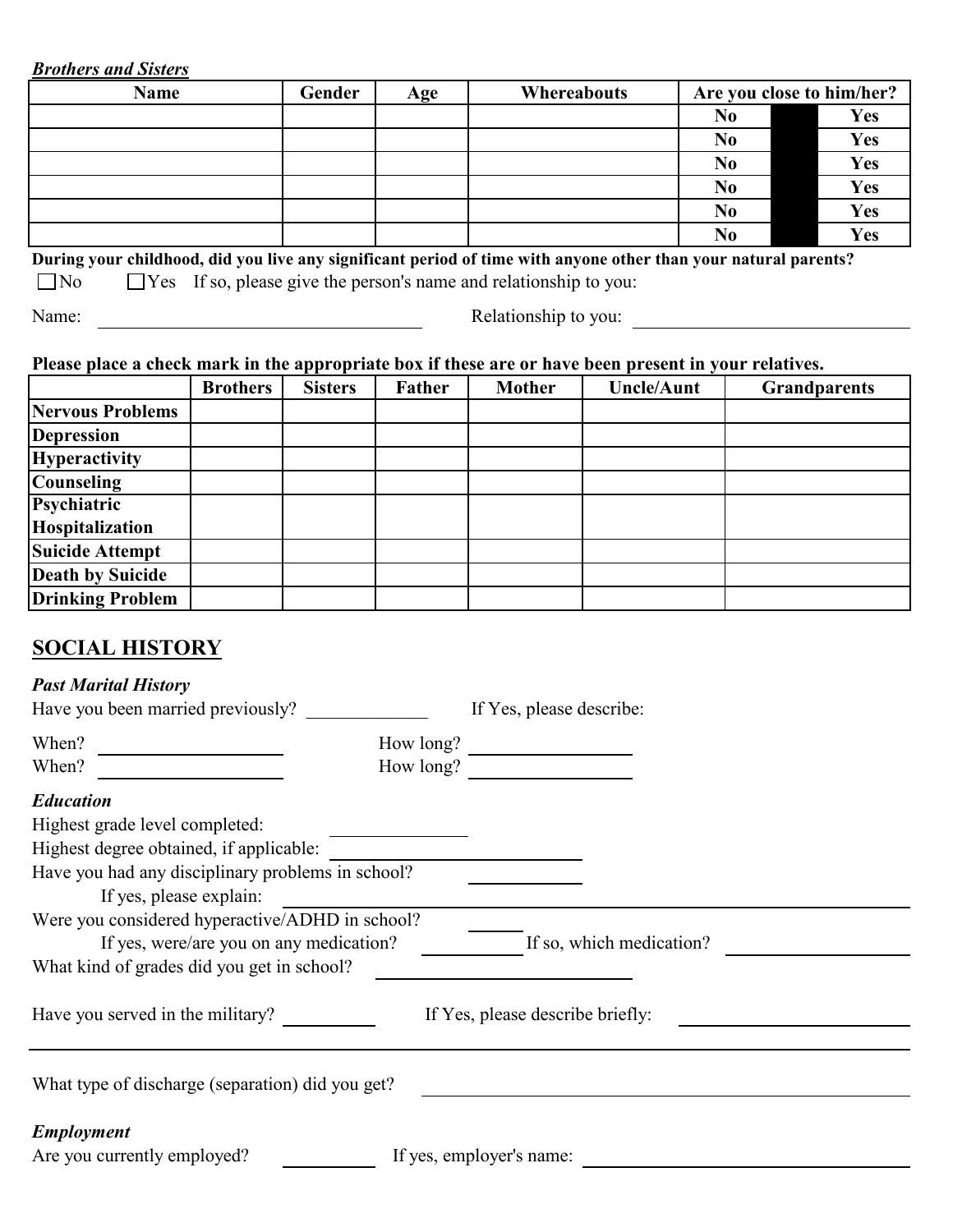#### *Brothers and Sisters*

| <b>Name</b>                                                                                                     | Gender | Age | <b>Whereabouts</b> |                | Are you close to him/her? |
|-----------------------------------------------------------------------------------------------------------------|--------|-----|--------------------|----------------|---------------------------|
|                                                                                                                 |        |     |                    | N <sub>0</sub> | Yes                       |
|                                                                                                                 |        |     |                    | N <sub>0</sub> | Yes                       |
|                                                                                                                 |        |     |                    | N <sub>0</sub> | Yes                       |
|                                                                                                                 |        |     |                    | N <sub>0</sub> | Yes                       |
|                                                                                                                 |        |     |                    | N <sub>0</sub> | Yes                       |
|                                                                                                                 |        |     |                    | N <sub>0</sub> | Yes                       |
| During your childhood, did you live any significant period of time with anyone other than your natural parents? |        |     |                    |                |                           |
| $\Box$ Yes If so, please give the person's name and relationship to you:<br>$\Box$ No                           |        |     |                    |                |                           |

Name: Relationship to you:

### **Please place a check mark in the appropriate box if these are or have been present in your relatives.**

|                         | <b>Brothers</b> | <b>Sisters</b> | <b>Father</b> | <b>Mother</b> | <b>Uncle/Aunt</b> | <b>Grandparents</b> |
|-------------------------|-----------------|----------------|---------------|---------------|-------------------|---------------------|
| Nervous Problems        |                 |                |               |               |                   |                     |
| <b>Depression</b>       |                 |                |               |               |                   |                     |
| <b>Hyperactivity</b>    |                 |                |               |               |                   |                     |
| <b>Counseling</b>       |                 |                |               |               |                   |                     |
| Psychiatric             |                 |                |               |               |                   |                     |
| Hospitalization         |                 |                |               |               |                   |                     |
| <b>Suicide Attempt</b>  |                 |                |               |               |                   |                     |
| <b>Death by Suicide</b> |                 |                |               |               |                   |                     |
| <b>Drinking Problem</b> |                 |                |               |               |                   |                     |

### **SOCIAL HISTORY**

#### *Past Marital History*

| Have you been married previously?                                                          | If Yes, please describe:         |
|--------------------------------------------------------------------------------------------|----------------------------------|
| When?<br>How long?                                                                         |                                  |
| How long?<br>When?                                                                         |                                  |
| <b>Education</b>                                                                           |                                  |
| Highest grade level completed:                                                             |                                  |
| Highest degree obtained, if applicable:                                                    |                                  |
| Have you had any disciplinary problems in school?<br>If yes, please explain:               |                                  |
| Were you considered hyperactive/ADHD in school?<br>If yes, were/are you on any medication? | If so, which medication?         |
| What kind of grades did you get in school?                                                 |                                  |
| Have you served in the military?                                                           | If Yes, please describe briefly: |
| What type of discharge (separation) did you get?                                           |                                  |
| <b>Employment</b><br>Are you currently employed?                                           | If yes, employer's name:         |